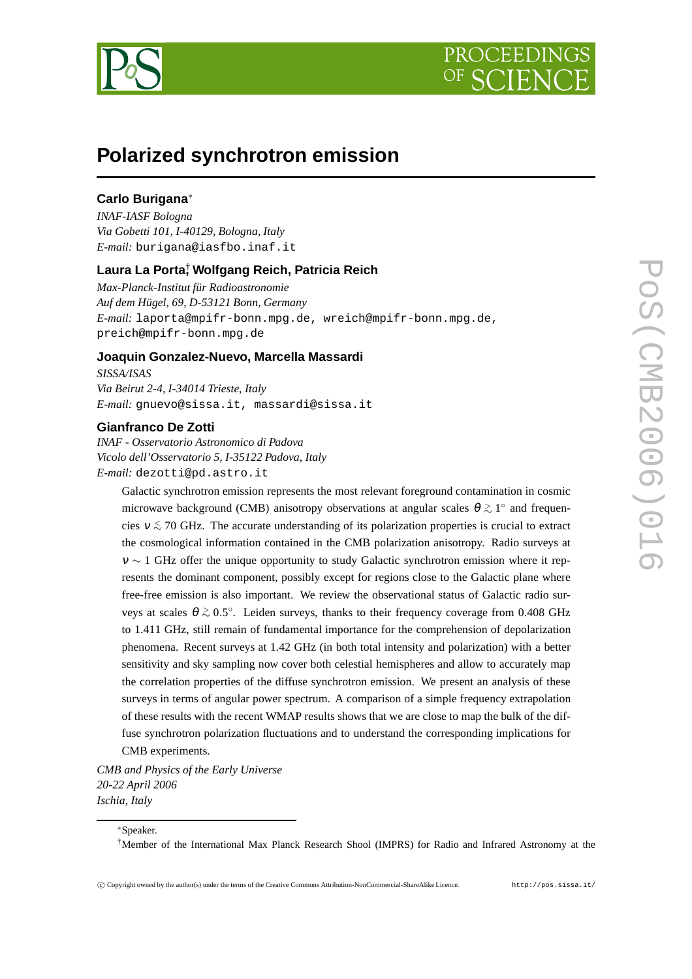

# **Polarized synchrotron emission**

# **Carlo Burigana**∗

*INAF-IASF Bologna Via Gobetti 101, I-40129, Bologna, Italy E-mail:* burigana@iasfbo.inaf.it

# **Laura La Porta**† **, Wolfgang Reich, Patricia Reich**

*Max-Planck-Institut für Radioastronomie Auf dem Hügel, 69, D-53121 Bonn, Germany E-mail:* laporta@mpifr-bonn.mpg.de, wreich@mpifr-bonn.mpg.de, preich@mpifr-bonn.mpg.de

# **Joaquin Gonzalez-Nuevo, Marcella Massardi**

*SISSA/ISAS Via Beirut 2-4, I-34014 Trieste, Italy E-mail:* gnuevo@sissa.it, massardi@sissa.it

# **Gianfranco De Zotti**

*INAF - Osservatorio Astronomico di Padova Vicolo dell'Osservatorio 5, I-35122 Padova, Italy E-mail:* dezotti@pd.astro.it

> Galactic synchrotron emission represents the most relevant foreground contamination in cosmic microwave background (CMB) anisotropy observations at angular scales  $\theta \gtrsim 1^{\circ}$  and frequencies  $v \lesssim 70$  GHz. The accurate understanding of its polarization properties is crucial to extract the cosmological information contained in the CMB polarization anisotropy. Radio surveys at  $v \sim 1$  GHz offer the unique opportunity to study Galactic synchrotron emission where it represents the dominant component, possibly except for regions close to the Galactic plane where free-free emission is also important. We review the observational status of Galactic radio surveys at scales  $\theta \gtrsim 0.5^{\circ}$ . Leiden surveys, thanks to their frequency coverage from 0.408 GHz to 1.411 GHz, still remain of fundamental importance for the comprehension of depolarization phenomena. Recent surveys at 1.42 GHz (in both total intensity and polarization) with a better sensitivity and sky sampling now cover both celestial hemispheres and allow to accurately map the correlation properties of the diffuse synchrotron emission. We present an analysis of these surveys in terms of angular power spectrum. A comparison of a simple frequency extrapolation of these results with the recent WMAP results shows that we are close to map the bulk of the diffuse synchrotron polarization fluctuations and to understand the corresponding implications for CMB experiments.

*CMB and Physics of the Early Universe 20-22 April 2006 Ischia, Italy*

<sup>∗</sup>Speaker.

<sup>†</sup>Member of the International Max Planck Research Shool (IMPRS) for Radio and Infrared Astronomy at the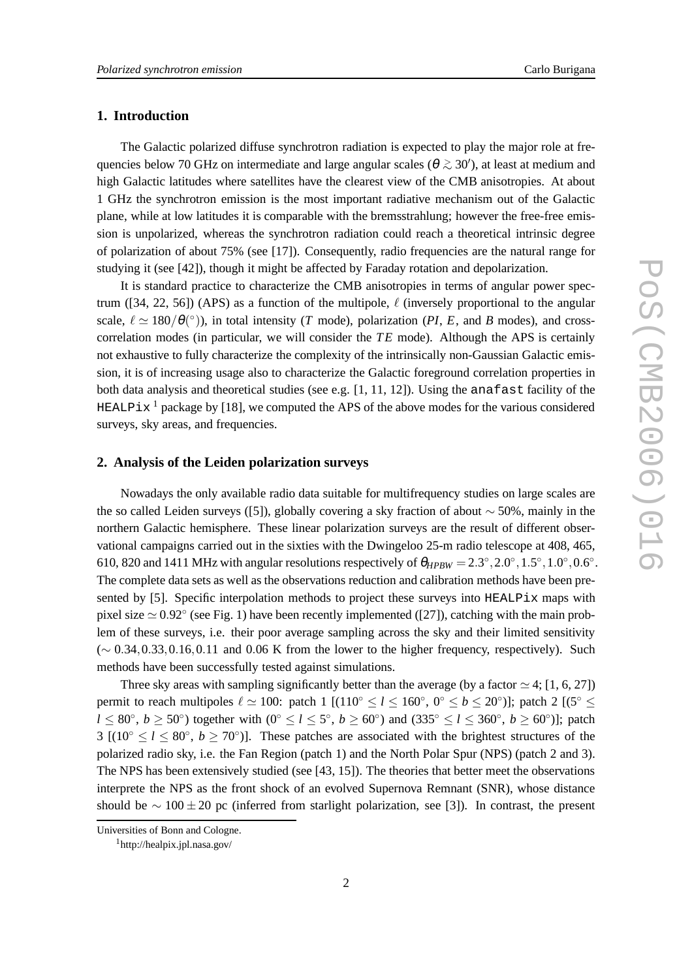# **1. Introduction**

The Galactic polarized diffuse synchrotron radiation is expected to play the major role at frequencies below 70 GHz on intermediate and large angular scales ( $\theta \gtrsim 30'$ ), at least at medium and high Galactic latitudes where satellites have the clearest view of the CMB anisotropies. At about 1 GHz the synchrotron emission is the most important radiative mechanism out of the Galactic plane, while at low latitudes it is comparable with the bremsstrahlung; however the free-free emission is unpolarized, whereas the synchrotron radiation could reach a theoretical intrinsic degree of polarization of about 75% (see [17]). Consequently, radio frequencies are the natural range for studying it (see [42]), though it might be affected by Faraday rotation and depolarization.

It is standard practice to characterize the CMB anisotropies in terms of angular power spectrum ([34, 22, 56]) (APS) as a function of the multipole,  $\ell$  (inversely proportional to the angular scale,  $\ell \simeq 180/\theta$ <sup>(°</sup>)), in total intensity (*T* mode), polarization (*PI*, *E*, and *B* modes), and crosscorrelation modes (in particular, we will consider the *T E* mode). Although the APS is certainly not exhaustive to fully characterize the complexity of the intrinsically non-Gaussian Galactic emission, it is of increasing usage also to characterize the Galactic foreground correlation properties in both data analysis and theoretical studies (see e.g. [1, 11, 12]). Using the anafast facility of the HEALPix<sup>1</sup> package by [18], we computed the APS of the above modes for the various considered surveys, sky areas, and frequencies.

## **2. Analysis of the Leiden polarization surveys**

Nowadays the only available radio data suitable for multifrequency studies on large scales are the so called Leiden surveys ([5]), globally covering a sky fraction of about ∼ 50%, mainly in the northern Galactic hemisphere. These linear polarization surveys are the result of different observational campaigns carried out in the sixties with the Dwingeloo 25-m radio telescope at 408, 465, 610, 820 and 1411 MHz with angular resolutions respectively of  $\theta_{HPBW} = 2.3^{\circ}, 2.0^{\circ}, 1.5^{\circ}, 1.0^{\circ}, 0.6^{\circ}$ . The complete data sets as well as the observations reduction and calibration methods have been presented by [5]. Specific interpolation methods to project these surveys into HEALPix maps with pixel size  $\simeq 0.92^{\circ}$  (see Fig. 1) have been recently implemented ([27]), catching with the main problem of these surveys, i.e. their poor average sampling across the sky and their limited sensitivity  $({\sim 0.34, 0.33, 0.16, 0.11}$  and 0.06 K from the lower to the higher frequency, respectively). Such methods have been successfully tested against simulations.

Three sky areas with sampling significantly better than the average (by a factor  $\simeq$  4; [1, 6, 27]) permit to reach multipoles  $\ell \simeq 100$ : patch 1 [ $(110^{\circ} \le l \le 160^{\circ}, 0^{\circ} \le b \le 20^{\circ})$ ]; patch 2 [ $(5^{\circ} \le$ *l* ≤ 80°, *b* ≥ 50°) together with (0° ≤ *l* ≤ 5°, *b* ≥ 60°) and (335° ≤ *l* ≤ 360°, *b* ≥ 60°)]; patch 3 [( $10° \le l \le 80°$ ,  $b \ge 70°$ )]. These patches are associated with the brightest structures of the polarized radio sky, i.e. the Fan Region (patch 1) and the North Polar Spur (NPS) (patch 2 and 3). The NPS has been extensively studied (see [43, 15]). The theories that better meet the observations interprete the NPS as the front shock of an evolved Supernova Remnant (SNR), whose distance should be  $\sim 100 \pm 20$  pc (inferred from starlight polarization, see [3]). In contrast, the present

Universities of Bonn and Cologne.

<sup>1</sup>http://healpix.jpl.nasa.gov/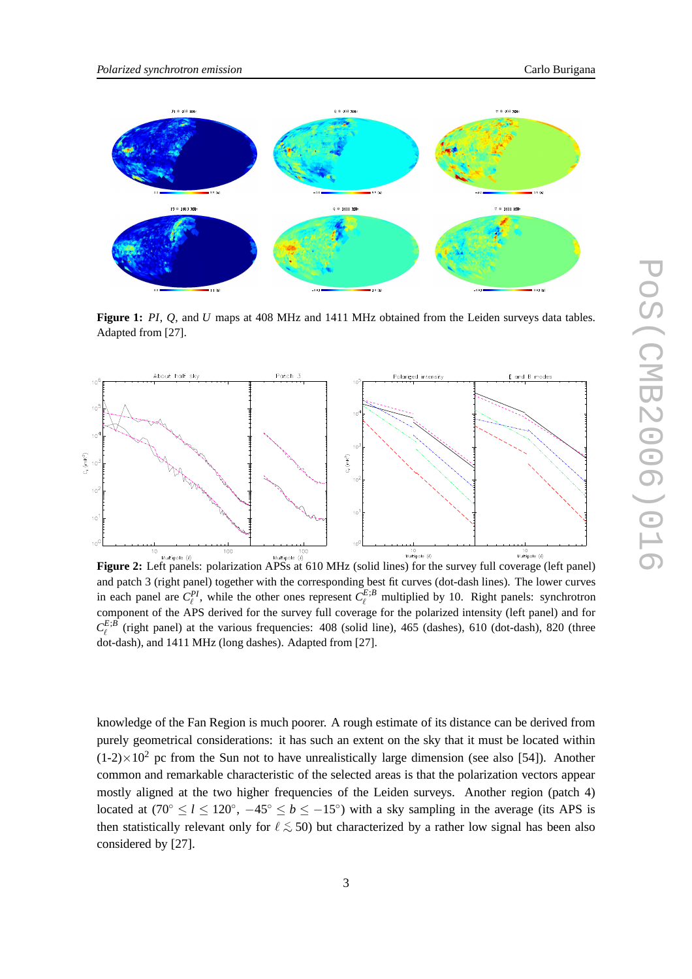

**Figure 1:** *PI*, *Q*, and *U* maps at 408 MHz and 1411 MHz obtained from the Leiden surveys data tables. Adapted from [27].



and patch 3 (right panel) together with the corresponding best fit curves (dot-dash lines). The lower curves in each panel are  $C_{\ell}^{PI}$ , while the other ones represent  $C_{\ell}^{E,B}$  multiplied by 10. Right panels: synchrotron component of the APS derived for the survey full coverage for the polarized intensity (left panel) and for  $C_{\ell}^{E,B}$  (right panel) at the various frequencies: 408 (solid line), 465 (dashes), 610 (dot-dash), 820 (three dot-dash), and 1411 MHz (long dashes). Adapted from [27].

knowledge of the Fan Region is much poorer. A rough estimate of its distance can be derived from purely geometrical considerations: it has such an extent on the sky that it must be located within  $(1-2)\times10^2$  pc from the Sun not to have unrealistically large dimension (see also [54]). Another common and remarkable characteristic of the selected areas is that the polarization vectors appear mostly aligned at the two higher frequencies of the Leiden surveys. Another region (patch 4) located at (70°  $\le l \le 120$ °,  $-45$ °  $\le b \le -15$ °) with a sky sampling in the average (its APS is then statistically relevant only for  $\ell \lesssim 50$ ) but characterized by a rather low signal has been also considered by [27].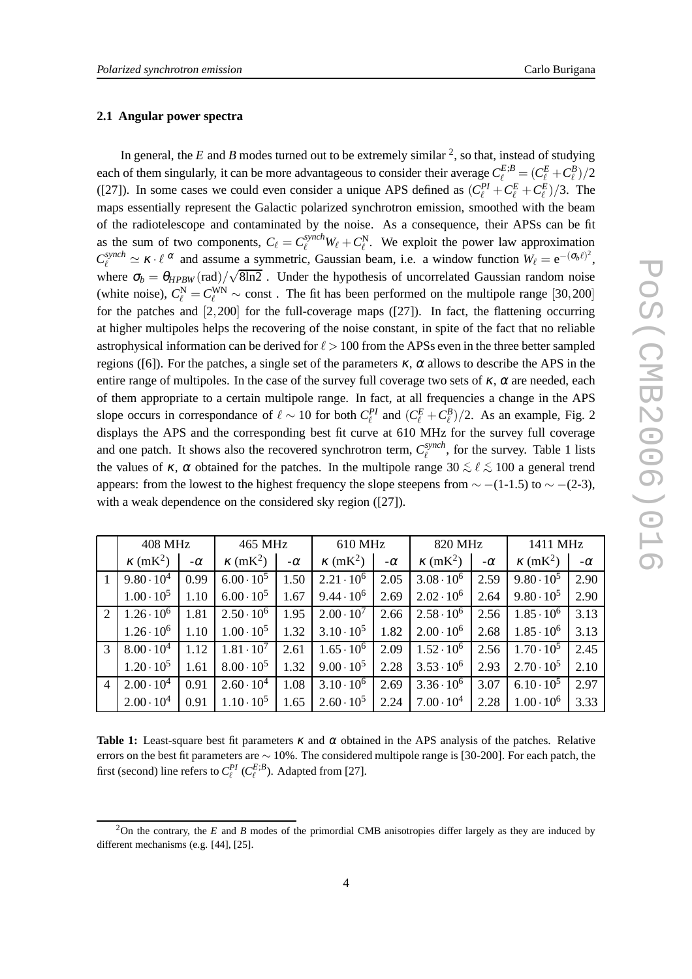#### **2.1 Angular power spectra**

In general, the  $E$  and  $B$  modes turned out to be extremely similar  $2$ , so that, instead of studying each of them singularly, it can be more advantageous to consider their average  $C_{\ell}^{E,B} = (C_{\ell}^{E} + C_{\ell}^{B})/2$ ([27]). In some cases we could even consider a unique APS defined as  $(C_{\ell}^{PI} + C_{\ell}^{E} + C_{\ell}^{E})/3$ . The maps essentially represent the Galactic polarized synchrotron emission, smoothed with the beam of the radiotelescope and contaminated by the noise. As a consequence, their APSs can be fit as the sum of two components,  $C_{\ell} = C_{\ell}^{synch} W_{\ell} + C_{\ell}^{N}$ . We exploit the power law approximation  $C_{\ell}^{synch} \simeq \kappa \cdot \ell^{\alpha}$  and assume a symmetric, Gaussian beam, i.e. a window function  $W_{\ell} = e^{-(\sigma_{\ell}\ell)^{2}}$ , where  $\sigma_b = \theta_{HPBW} (\text{rad}) / \sqrt{8 \text{ln}2}$ . Under the hypothesis of uncorrelated Gaussian random noise (white noise),  $C_{\ell}^{N} = C_{\ell}^{WN} \sim \text{const}$ . The fit has been performed on the multipole range [30,200] for the patches and [2,200] for the full-coverage maps ([27]). In fact, the flattening occurring at higher multipoles helps the recovering of the noise constant, in spite of the fact that no reliable astrophysical information can be derived for  $\ell > 100$  from the APSs even in the three better sampled regions ([6]). For the patches, a single set of the parameters  $\kappa$ , α allows to describe the APS in the entire range of multipoles. In the case of the survey full coverage two sets of  $\kappa$ ,  $\alpha$  are needed, each of them appropriate to a certain multipole range. In fact, at all frequencies a change in the APS slope occurs in correspondance of  $\ell \sim 10$  for both  $C_{\ell}^{PI}$  and  $(C_{\ell}^{E} + C_{\ell}^{B})/2$ . As an example, Fig. 2 displays the APS and the corresponding best fit curve at 610 MHz for the survey full coverage and one patch. It shows also the recovered synchrotron term,  $C_{\ell}^{synch}$  $\ell^{synch}$ , for the survey. Table 1 lists the values of  $\kappa$ ,  $\alpha$  obtained for the patches. In the multipole range 30  $\leq \ell \leq 100$  a general trend appears: from the lowest to the highest frequency the slope steepens from  $\sim$  −(1-1.5) to  $\sim$  −(2-3), with a weak dependence on the considered sky region ([27]).

|                | <b>408 MHz</b>              |           | 465 MHz                     |           | 610 MHz                     |           | 820 MHz                     |           | 1411 MHz                    |           |
|----------------|-----------------------------|-----------|-----------------------------|-----------|-----------------------------|-----------|-----------------------------|-----------|-----------------------------|-----------|
|                | $\kappa$ (mK <sup>2</sup> ) | $-\alpha$ | $\kappa$ (mK <sup>2</sup> ) | $-\alpha$ | $\kappa$ (mK <sup>2</sup> ) | $-\alpha$ | $\kappa$ (mK <sup>2</sup> ) | $-\alpha$ | $\kappa$ (mK <sup>2</sup> ) | $-\alpha$ |
|                | $9.80 \cdot 10^{4}$         | 0.99      | $6.00 \cdot 10^5$           | 1.50      | $2.21 \cdot 10^6$           | 2.05      | $3.08 \cdot 10^6$           | 2.59      | $9.80 \cdot 10^5$           | 2.90      |
|                | $1.00 \cdot 10^5$           | 1.10      | $6.00 \cdot 10^5$           | 1.67      | $9.44 \cdot 10^6$           | 2.69      | $2.02 \cdot 10^6$           | 2.64      | $9.80 \cdot 10^5$           | 2.90      |
| 2              | $1.26 \cdot 10^6$           | 1.81      | $2.50 \cdot 10^6$           | 1.95      | $2.00 \cdot 10^{7}$         | 2.66      | $2.58 \cdot 10^6$           | 2.56      | $1.85 \cdot 10^6$           | 3.13      |
|                | $1.26 \cdot 10^{6}$         | 1.10      | $1.00 \cdot 10^5$           | 1.32      | $3.10 \cdot 10^5$           | 1.82      | $2.00 \cdot 10^6$           | 2.68      | $1.85 \cdot 10^6$           | 3.13      |
| $\mathcal{E}$  | $8.00 \cdot 10^{4}$         | 1.12      | $1.81 \cdot 10^7$           | 2.61      | $1.65 \cdot 10^{6}$         | 2.09      | $1.52 \cdot 10^6$           | 2.56      | $1.70 \cdot 10^5$           | 2.45      |
|                | $1.20 \cdot 10^5$           | 1.61      | $8.00 \cdot 10^5$           | 1.32      | $9.00 \cdot 10^5$           | 2.28      | $3.53 \cdot 10^6$           | 2.93      | $2.70 \cdot 10^5$           | 2.10      |
| $\overline{4}$ | $2.00 \cdot 10^{4}$         | 0.91      | $2.60 \cdot 10^{4}$         | 1.08      | $3.10 \cdot 10^6$           | 2.69      | $3.36 \cdot 10^{6}$         | 3.07      | $6.10 \cdot 10^5$           | 2.97      |
|                | $2.00 \cdot 10^4$           | 0.91      | $1.10 \cdot 10^5$           | 1.65      | $2.60 \cdot 10^5$           | 2.24      | $7.00 \cdot 10^4$           | 2.28      | $1.00 \cdot 10^6$           | 3.33      |

**Table 1:** Least-square best fit parameters  $\kappa$  and  $\alpha$  obtained in the APS analysis of the patches. Relative errors on the best fit parameters are  $\sim$  10%. The considered multipole range is [30-200]. For each patch, the first (second) line refers to  $C_{\ell}^{PI}$  ( $C_{\ell}^{E;B}$ ). Adapted from [27].

<sup>2</sup>On the contrary, the *E* and *B* modes of the primordial CMB anisotropies differ largely as they are induced by different mechanisms (e.g. [44], [25].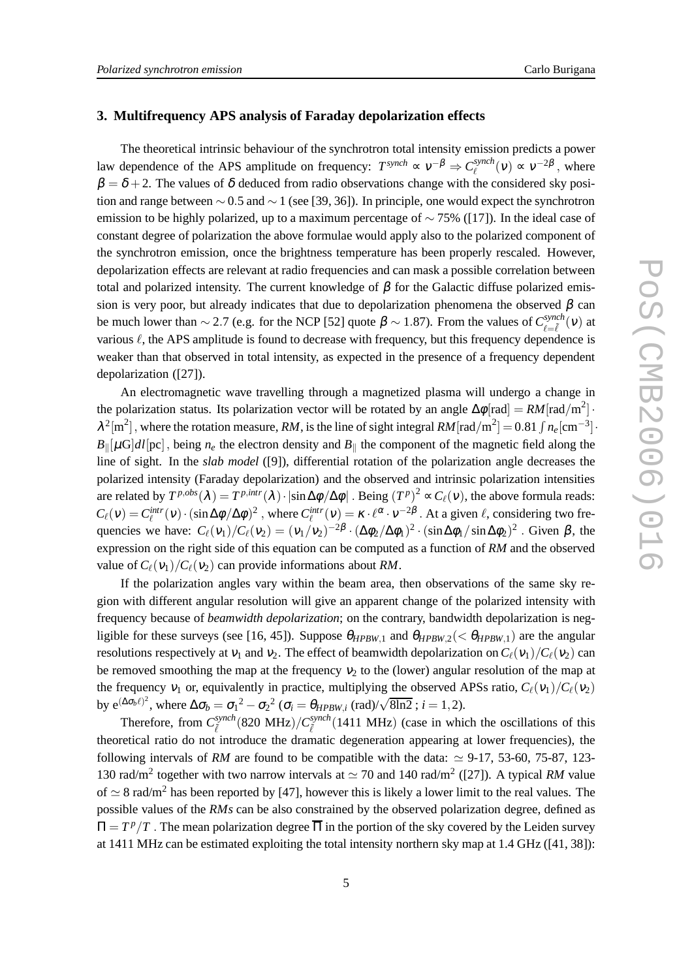#### **3. Multifrequency APS analysis of Faraday depolarization effects**

The theoretical intrinsic behaviour of the synchrotron total intensity emission predicts a power law dependence of the APS amplitude on frequency:  $T^{synch} \propto V^{-\beta} \Rightarrow C_{\ell}^{synch}$  $\ell^{synch}(v) \propto v^{-2\beta}$ , where  $\beta = \delta + 2$ . The values of  $\delta$  deduced from radio observations change with the considered sky position and range between  $\sim$  0.5 and  $\sim$  1 (see [39, 36]). In principle, one would expect the synchrotron emission to be highly polarized, up to a maximum percentage of  $\sim$  75% ([17]). In the ideal case of constant degree of polarization the above formulae would apply also to the polarized component of the synchrotron emission, once the brightness temperature has been properly rescaled. However, depolarization effects are relevant at radio frequencies and can mask a possible correlation between total and polarized intensity. The current knowledge of  $\beta$  for the Galactic diffuse polarized emission is very poor, but already indicates that due to depolarization phenomena the observed  $\beta$  can be much lower than  $\sim$  2.7 (e.g. for the NCP [52] quote  $\beta \sim$  1.87). From the values of  $C_{\ell=\tilde{\ell}}^{synch}$  $\int_{\ell=\tilde\ell}^{syncn}(\nu)$  at various  $\ell$ , the APS amplitude is found to decrease with frequency, but this frequency dependence is weaker than that observed in total intensity, as expected in the presence of a frequency dependent depolarization ([27]).

An electromagnetic wave travelling through a magnetized plasma will undergo a change in the polarization status. Its polarization vector will be rotated by an angle  $\Delta\phi$  [rad] =  $RM$ [rad/m<sup>2</sup>] ·  $\lambda^2[m^2]$ , where the rotation measure, *RM*, is the line of sight integral *RM*[rad/m<sup>2</sup>] = 0.81  $\int n_e[\text{cm}^{-3}] \cdot$  $B_{\parallel}[\mu G]dl[pc]$ , being  $n_e$  the electron density and  $B_{\parallel}$  the component of the magnetic field along the line of sight. In the *slab model* ([9]), differential rotation of the polarization angle decreases the polarized intensity (Faraday depolarization) and the observed and intrinsic polarization intensities are related by  $T^{p,obs}(\lambda) = T^{p,intr}(\lambda) \cdot |\sin \Delta \phi / \Delta \phi|$  . Being  $(T^p)^2 \propto C_\ell(\nu)$ , the above formula reads:  $C_{\ell}(v) = C_{\ell}^{intr}(v) \cdot (\sin \Delta\phi/\Delta\phi)^2$ , where  $C_{\ell}^{intr}(v) = \kappa \cdot \ell^{\alpha} \cdot v^{-2\beta}$ . At a given  $\ell$ , considering two frequencies we have:  $C_{\ell}(v_1)/C_{\ell}(v_2) = (v_1/v_2)^{-2\beta} \cdot (\Delta \phi_2/\Delta \phi_1)^2 \cdot (\sin \Delta \phi_1/\sin \Delta \phi_2)^2$ . Given  $\beta$ , the expression on the right side of this equation can be computed as a function of *RM* and the observed value of  $C_{\ell}(v_1)/C_{\ell}(v_2)$  can provide informations about *RM*.

If the polarization angles vary within the beam area, then observations of the same sky region with different angular resolution will give an apparent change of the polarized intensity with frequency because of *beamwidth depolarization*; on the contrary, bandwidth depolarization is negligible for these surveys (see [16, 45]). Suppose  $\theta_{HPBW,1}$  and  $\theta_{HPBW,2}$  (<  $\theta_{HPBW,1}$ ) are the angular resolutions respectively at  $v_1$  and  $v_2$ . The effect of beamwidth depolarization on  $C_\ell(v_1)/C_\ell(v_2)$  can be removed smoothing the map at the frequency  $v_2$  to the (lower) angular resolution of the map at the frequency  $v_1$  or, equivalently in practice, multiplying the observed APSs ratio,  $C_\ell(v_1)/C_\ell(v_2)$ by  $e^{(\Delta \sigma_b \ell)^2}$ , where  $\Delta \sigma_b = \sigma_1^2 - \sigma_2^2$  ( $\sigma_i = \theta_{HPBW,i}$  (rad)/ $\sqrt{8\ln 2}$ ; *i* = 1, 2).

Therefore, from  $C^{synch}_{\tilde{a}}$ ˜ℓ (820 MHz)/*C synch*  $\zeta_{\ell}^{syncn}$  (1411 MHz) (case in which the oscillations of this theoretical ratio do not introduce the dramatic degeneration appearing at lower frequencies), the following intervals of *RM* are found to be compatible with the data:  $\simeq$  9-17, 53-60, 75-87, 123-130 rad/m<sup>2</sup> together with two narrow intervals at  $\simeq$  70 and 140 rad/m<sup>2</sup> ([27]). A typical *RM* value of  $\simeq$  8 rad/m<sup>2</sup> has been reported by [47], however this is likely a lower limit to the real values. The possible values of the *RMs* can be also constrained by the observed polarization degree, defined as  $\Pi = T^p/T$  . The mean polarization degree  $\overline{\Pi}$  in the portion of the sky covered by the Leiden survey at 1411 MHz can be estimated exploiting the total intensity northern sky map at 1.4 GHz ([41, 38]):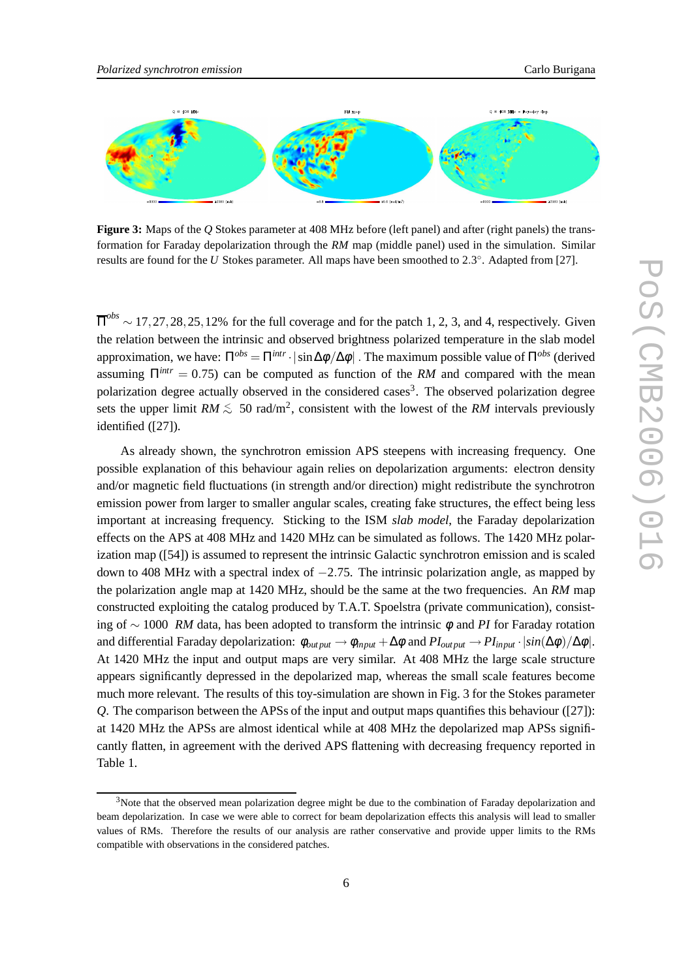

**Figure 3:** Maps of the *Q* Stokes parameter at 408 MHz before (left panel) and after (right panels) the transformation for Faraday depolarization through the *RM* map (middle panel) used in the simulation. Similar results are found for the *U* Stokes parameter. All maps have been smoothed to 2.3°. Adapted from [27].

 $\overline{\Pi}^{obs} \sim 17, 27, 28, 25, 12\%$  for the full coverage and for the patch 1, 2, 3, and 4, respectively. Given the relation between the intrinsic and observed brightness polarized temperature in the slab model approximation, we have:  $\Pi^{obs} = \Pi^{intr} \cdot |\sin \Delta\phi / \Delta\phi|$ . The maximum possible value of  $\Pi^{obs}$  (derived assuming  $\Pi^{intr} = 0.75$ ) can be computed as function of the *RM* and compared with the mean polarization degree actually observed in the considered cases<sup>3</sup>. The observed polarization degree sets the upper limit  $RM \lesssim 50$  rad/m<sup>2</sup>, consistent with the lowest of the *RM* intervals previously identified ([27]).

As already shown, the synchrotron emission APS steepens with increasing frequency. One possible explanation of this behaviour again relies on depolarization arguments: electron density and/or magnetic field fluctuations (in strength and/or direction) might redistribute the synchrotron emission power from larger to smaller angular scales, creating fake structures, the effect being less important at increasing frequency. Sticking to the ISM *slab model*, the Faraday depolarization effects on the APS at 408 MHz and 1420 MHz can be simulated as follows. The 1420 MHz polarization map ([54]) is assumed to represent the intrinsic Galactic synchrotron emission and is scaled down to 408 MHz with a spectral index of  $-2.75$ . The intrinsic polarization angle, as mapped by the polarization angle map at 1420 MHz, should be the same at the two frequencies. An *RM* map constructed exploiting the catalog produced by T.A.T. Spoelstra (private communication), consisting of ∼ 1000 *RM* data, has been adopted to transform the intrinsic <sup>φ</sup> and *PI* for Faraday rotation and differential Faraday depolarization:  $\phi_{out\,put} \rightarrow \phi_{in\,put} + \Delta \phi$  and  $PI_{out\,put} \rightarrow PI_{in\,put} \cdot |sin(\Delta \phi)/\Delta \phi|$ . At 1420 MHz the input and output maps are very similar. At 408 MHz the large scale structure appears significantly depressed in the depolarized map, whereas the small scale features become much more relevant. The results of this toy-simulation are shown in Fig. 3 for the Stokes parameter *Q*. The comparison between the APSs of the input and output maps quantifies this behaviour ([27]): at 1420 MHz the APSs are almost identical while at 408 MHz the depolarized map APSs significantly flatten, in agreement with the derived APS flattening with decreasing frequency reported in Table 1.

<sup>&</sup>lt;sup>3</sup>Note that the observed mean polarization degree might be due to the combination of Faraday depolarization and beam depolarization. In case we were able to correct for beam depolarization effects this analysis will lead to smaller values of RMs. Therefore the results of our analysis are rather conservative and provide upper limits to the RMs compatible with observations in the considered patches.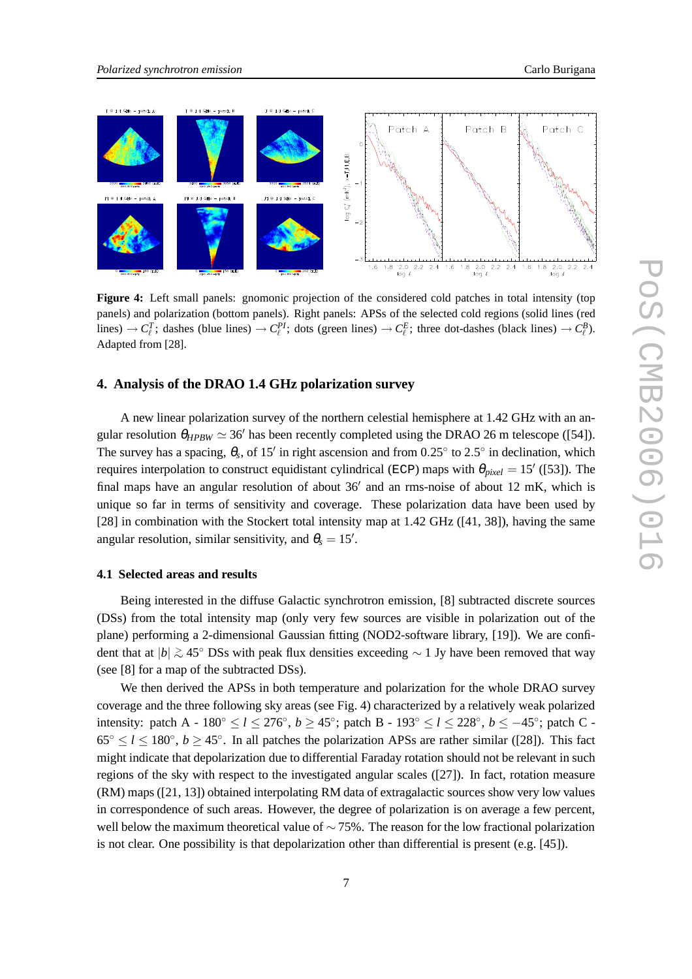

**Figure 4:** Left small panels: gnomonic projection of the considered cold patches in total intensity (top panels) and polarization (bottom panels). Right panels: APSs of the selected cold regions (solid lines (red lines)  $\rightarrow$  *C*<sup>*T*</sup><sub>*C*</sub><sup>*t*</sup>; dashes (blue lines)  $\rightarrow$  *C*<sup>*PI*</sup>; dots (green lines)  $\rightarrow$  *C*<sup>*E*</sup><sub>*C*</sub><sup>*f*</sup>; three dot-dashes (black lines)  $\rightarrow$  *C*<sup>*B*</sup><sub>*C*</sub><sup>*P*</sup>. Adapted from [28].

#### **4. Analysis of the DRAO 1.4 GHz polarization survey**

A new linear polarization survey of the northern celestial hemisphere at 1.42 GHz with an angular resolution  $\theta_{HPBW} \simeq 36'$  has been recently completed using the DRAO 26 m telescope ([54]). The survey has a spacing,  $\theta_s$ , of 15' in right ascension and from 0.25 $\degree$  to 2.5 $\degree$  in declination, which requires interpolation to construct equidistant cylindrical (ECP) maps with  $\theta_{pixel} = 15'$  ([53]). The final maps have an angular resolution of about 36′ and an rms-noise of about 12 mK, which is unique so far in terms of sensitivity and coverage. These polarization data have been used by [28] in combination with the Stockert total intensity map at 1.42 GHz ([41, 38]), having the same angular resolution, similar sensitivity, and  $\theta_s = 15'$ .

#### **4.1 Selected areas and results**

Being interested in the diffuse Galactic synchrotron emission, [8] subtracted discrete sources (DSs) from the total intensity map (only very few sources are visible in polarization out of the plane) performing a 2-dimensional Gaussian fitting (NOD2-software library, [19]). We are confident that at  $|b| \gtrsim 45^\circ$  DSs with peak flux densities exceeding  $\sim 1$  Jy have been removed that way (see [8] for a map of the subtracted DSs).

We then derived the APSs in both temperature and polarization for the whole DRAO survey coverage and the three following sky areas (see Fig. 4) characterized by a relatively weak polarized intensity: patch A -  $180^\circ \le l \le 276^\circ$ ,  $b \ge 45^\circ$ ; patch B -  $193^\circ \le l \le 228^\circ$ ,  $b \le -45^\circ$ ; patch C - $65^{\circ} \le l \le 180^{\circ}$ ,  $b \ge 45^{\circ}$ . In all patches the polarization APSs are rather similar ([28]). This fact might indicate that depolarization due to differential Faraday rotation should not be relevant in such regions of the sky with respect to the investigated angular scales ([27]). In fact, rotation measure (RM) maps ([21, 13]) obtained interpolating RM data of extragalactic sources show very low values in correspondence of such areas. However, the degree of polarization is on average a few percent, well below the maximum theoretical value of ∼ 75%. The reason for the low fractional polarization is not clear. One possibility is that depolarization other than differential is present (e.g.  $[45]$ ).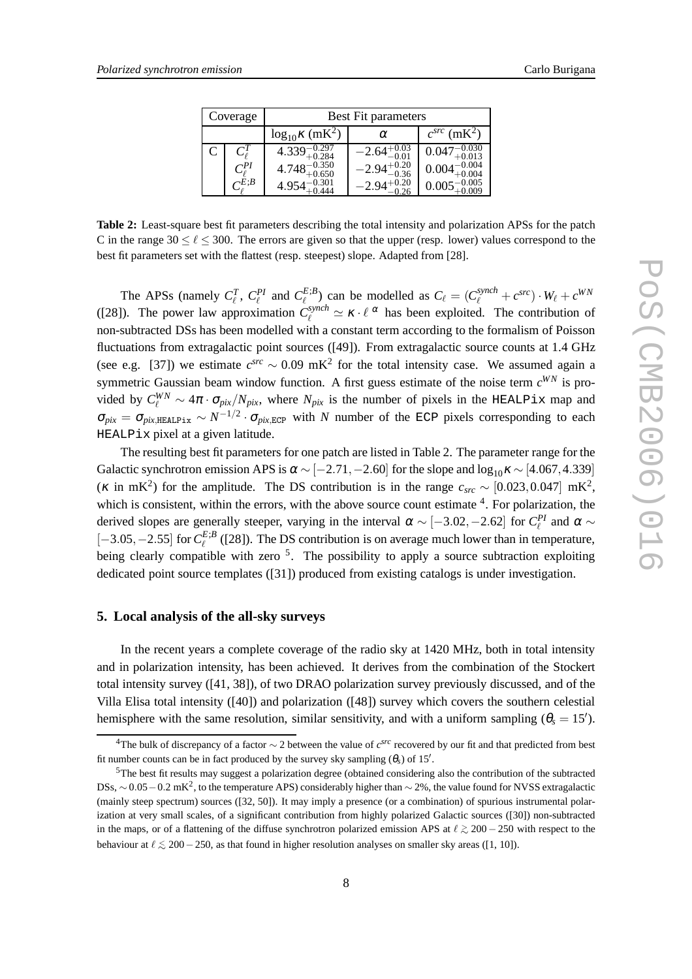| Coverage |                 | Best Fit parameters              |                         |                              |  |  |  |
|----------|-----------------|----------------------------------|-------------------------|------------------------------|--|--|--|
|          |                 | $\log_{10}$ K (mK <sup>2</sup> ) | α                       | $c^{src}$ (mK <sup>2</sup> ) |  |  |  |
|          | $C_{\ell}^I$    | $4.339^{-0.231}_{+0.284}$        | 0.03<br>$-2.64^{+}$     | 0.047                        |  |  |  |
|          | $C^{PI}_{\ell}$ | $4.748_{+0.650}^{-0.350}$        | $-2.94^{+0.20}_{-0.22}$ | $0.004^{-}$                  |  |  |  |
|          | $\neg E;B$      |                                  |                         | 0.005<br>$-0.005$            |  |  |  |

**Table 2:** Least-square best fit parameters describing the total intensity and polarization APSs for the patch C in the range  $30 < \ell < 300$ . The errors are given so that the upper (resp. lower) values correspond to the best fit parameters set with the flattest (resp. steepest) slope. Adapted from [28].

The APSs (namely  $C_{\ell}^{T}$ ,  $C_{\ell}^{PI}$  and  $C_{\ell}^{E;B}$  $\mathcal{L}^{(E;B)}$  can be modelled as  $C_{\ell} = (C_{\ell}^{synch} + c^{src}) \cdot W_{\ell} + c^{WN}$ ([28]). The power law approximation  $C_{\ell}^{synch} \simeq \kappa \cdot \ell^{\alpha}$  has been exploited. The contribution of non-subtracted DSs has been modelled with a constant term according to the formalism of Poisson fluctuations from extragalactic point sources ([49]). From extragalactic source counts at 1.4 GHz (see e.g. [37]) we estimate  $c^{src} \sim 0.09$  mK<sup>2</sup> for the total intensity case. We assumed again a symmetric Gaussian beam window function. A first guess estimate of the noise term  $c^{WN}$  is provided by  $C_{\ell}^{WN} \sim 4\pi \cdot \sigma_{pix}/N_{pix}$ , where  $N_{pix}$  is the number of pixels in the HEALPix map and  $\sigma_{pix} = \sigma_{pix,HEALPix} \sim N^{-1/2} \cdot \sigma_{pix,ECP}$  with *N* number of the ECP pixels corresponding to each HEALPix pixel at a given latitude.

The resulting best fit parameters for one patch are listed in Table 2. The parameter range for the Galactic synchrotron emission APS is  $\alpha \sim [-2.71, -2.60]$  for the slope and  $\log_{10} \kappa \sim [4.067, 4.339]$ (*κ* in mK<sup>2</sup>) for the amplitude. The DS contribution is in the range  $c_{src} \sim [0.023, 0.047] \text{ mK}^2$ , which is consistent, within the errors, with the above source count estimate  $4$ . For polarization, the derived slopes are generally steeper, varying in the interval  $\alpha \sim [-3.02, -2.62]$  for  $C_{\ell}^{PI}$  and  $\alpha \sim$ [−3.05,−2.55] for *C E*;*B*  $\ell^{E,B}$  ([28]). The DS contribution is on average much lower than in temperature, being clearly compatible with zero  $5$ . The possibility to apply a source subtraction exploiting dedicated point source templates ([31]) produced from existing catalogs is under investigation.

## **5. Local analysis of the all-sky surveys**

In the recent years a complete coverage of the radio sky at 1420 MHz, both in total intensity and in polarization intensity, has been achieved. It derives from the combination of the Stockert total intensity survey ([41, 38]), of two DRAO polarization survey previously discussed, and of the Villa Elisa total intensity ([40]) and polarization ([48]) survey which covers the southern celestial hemisphere with the same resolution, similar sensitivity, and with a uniform sampling  $(\theta_s = 15')$ .

<sup>&</sup>lt;sup>4</sup>The bulk of discrepancy of a factor ∼ 2 between the value of  $c^{src}$  recovered by our fit and that predicted from best fit number counts can be in fact produced by the survey sky sampling  $(\theta_s)$  of 15'.

<sup>5</sup>The best fit results may suggest a polarization degree (obtained considering also the contribution of the subtracted DSs,  $\sim$  0.05 – 0.2 mK<sup>2</sup>, to the temperature APS) considerably higher than  $\sim$  2%, the value found for NVSS extragalactic (mainly steep spectrum) sources ([32, 50]). It may imply a presence (or a combination) of spurious instrumental polarization at very small scales, of a significant contribution from highly polarized Galactic sources ([30]) non-subtracted in the maps, or of a flattening of the diffuse synchrotron polarized emission APS at  $\ell \gtrsim 200 - 250$  with respect to the behaviour at  $\ell \lesssim 200-250$ , as that found in higher resolution analyses on smaller sky areas ([1, 10]).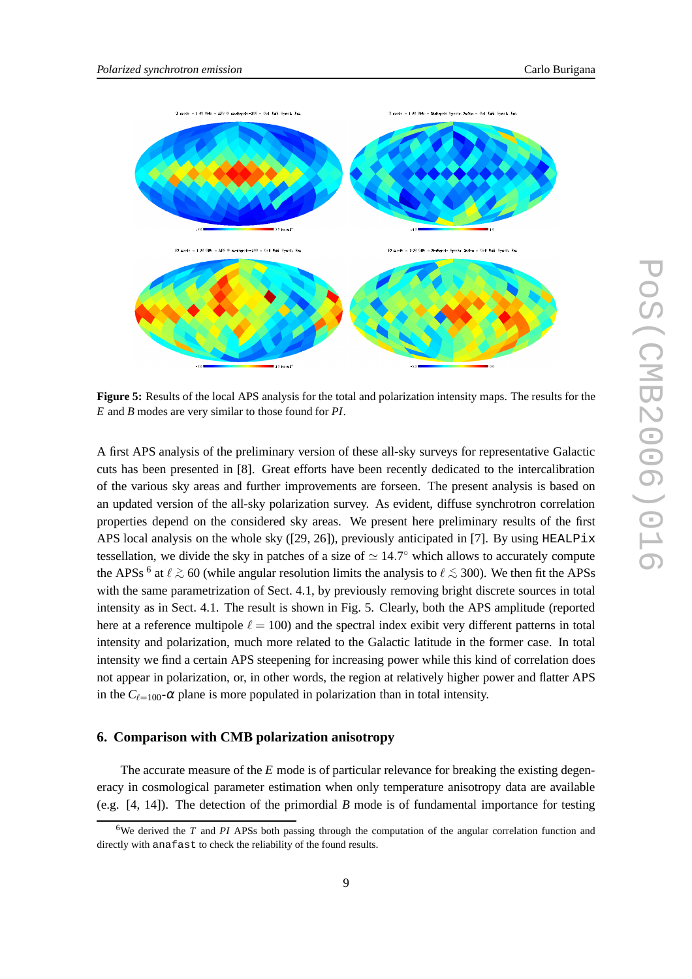

**Figure 5:** Results of the local APS analysis for the total and polarization intensity maps. The results for the *E* and *B* modes are very similar to those found for *PI*.

A first APS analysis of the preliminary version of these all-sky surveys for representative Galactic cuts has been presented in [8]. Great efforts have been recently dedicated to the intercalibration of the various sky areas and further improvements are forseen. The present analysis is based on an updated version of the all-sky polarization survey. As evident, diffuse synchrotron correlation properties depend on the considered sky areas. We present here preliminary results of the first APS local analysis on the whole sky ([29, 26]), previously anticipated in [7]. By using HEALPix tessellation, we divide the sky in patches of a size of  $\simeq 14.7^{\circ}$  which allows to accurately compute the APSs <sup>6</sup> at  $\ell \gtrsim 60$  (while angular resolution limits the analysis to  $\ell \lesssim 300$ ). We then fit the APSs with the same parametrization of Sect. 4.1, by previously removing bright discrete sources in total intensity as in Sect. 4.1. The result is shown in Fig. 5. Clearly, both the APS amplitude (reported here at a reference multipole  $\ell = 100$ ) and the spectral index exibit very different patterns in total intensity and polarization, much more related to the Galactic latitude in the former case. In total intensity we find a certain APS steepening for increasing power while this kind of correlation does not appear in polarization, or, in other words, the region at relatively higher power and flatter APS in the  $C_{\ell=100}$ - $\alpha$  plane is more populated in polarization than in total intensity.

#### **6. Comparison with CMB polarization anisotropy**

The accurate measure of the *E* mode is of particular relevance for breaking the existing degeneracy in cosmological parameter estimation when only temperature anisotropy data are available (e.g. [4, 14]). The detection of the primordial *B* mode is of fundamental importance for testing

<sup>6</sup>We derived the *T* and *PI* APSs both passing through the computation of the angular correlation function and directly with anafast to check the reliability of the found results.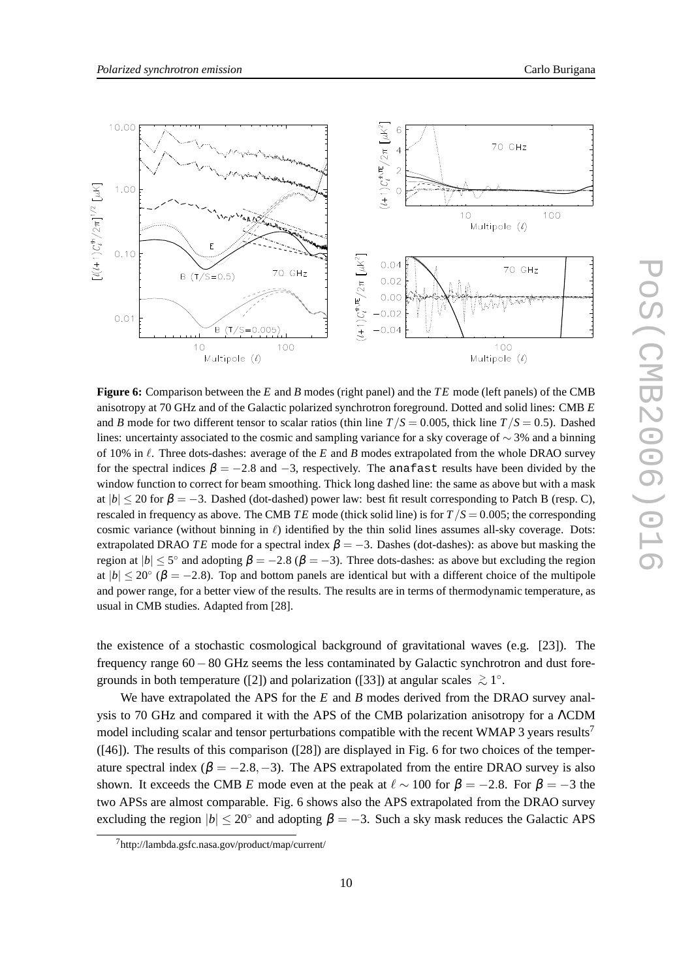

**Figure 6:** Comparison between the *E* and *B* modes (right panel) and the *T E* mode (left panels) of the CMB anisotropy at 70 GHz and of the Galactic polarized synchrotron foreground. Dotted and solid lines: CMB *E* and *B* mode for two different tensor to scalar ratios (thin line  $T/S = 0.005$ , thick line  $T/S = 0.5$ ). Dashed lines: uncertainty associated to the cosmic and sampling variance for a sky coverage of ∼ 3% and a binning of 10% in  $\ell$ . Three dots-dashes: average of the *E* and *B* modes extrapolated from the whole DRAO survey for the spectral indices  $\beta = -2.8$  and  $-3$ , respectively. The anafast results have been divided by the window function to correct for beam smoothing. Thick long dashed line: the same as above but with a mask at  $|b| < 20$  for  $\beta = -3$ . Dashed (dot-dashed) power law: best fit result corresponding to Patch B (resp. C), rescaled in frequency as above. The CMB  $TE$  mode (thick solid line) is for  $T/S = 0.005$ ; the corresponding cosmic variance (without binning in  $\ell$ ) identified by the thin solid lines assumes all-sky coverage. Dots: extrapolated DRAO *TE* mode for a spectral index  $\beta = -3$ . Dashes (dot-dashes): as above but masking the region at  $|b| \le 5^{\circ}$  and adopting  $\beta = -2.8$  ( $\beta = -3$ ). Three dots-dashes: as above but excluding the region at  $|b| \le 20^{\circ}$  ( $\beta = -2.8$ ). Top and bottom panels are identical but with a different choice of the multipole and power range, for a better view of the results. The results are in terms of thermodynamic temperature, as usual in CMB studies. Adapted from [28].

the existence of a stochastic cosmological background of gravitational waves (e.g. [23]). The frequency range 60−80 GHz seems the less contaminated by Galactic synchrotron and dust foregrounds in both temperature ([2]) and polarization ([33]) at angular scales  $\gtrsim 1^{\circ}$ .

We have extrapolated the APS for the *E* and *B* modes derived from the DRAO survey analysis to 70 GHz and compared it with the APS of the CMB polarization anisotropy for a ΛCDM model including scalar and tensor perturbations compatible with the recent WMAP 3 years results<sup>7</sup>  $(146)$ . The results of this comparison  $(28)$  are displayed in Fig. 6 for two choices of the temperature spectral index ( $\beta = -2.8, -3$ ). The APS extrapolated from the entire DRAO survey is also shown. It exceeds the CMB *E* mode even at the peak at  $\ell \sim 100$  for  $\beta = -2.8$ . For  $\beta = -3$  the two APSs are almost comparable. Fig. 6 shows also the APS extrapolated from the DRAO survey excluding the region  $|b| \le 20^\circ$  and adopting  $\beta = -3$ . Such a sky mask reduces the Galactic APS

<sup>7</sup>http://lambda.gsfc.nasa.gov/product/map/current/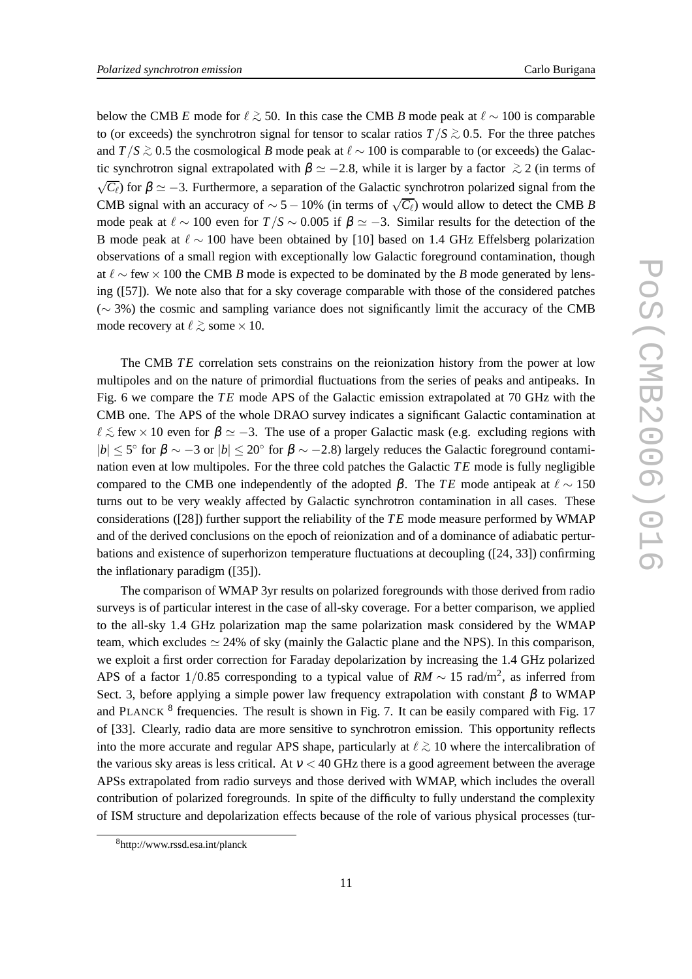below the CMB *E* mode for  $\ell \gtrsim 50$ . In this case the CMB *B* mode peak at  $\ell \sim 100$  is comparable to (or exceeds) the synchrotron signal for tensor to scalar ratios  $T/S \gtrsim 0.5$ . For the three patches and  $T/S \gtrsim 0.5$  the cosmological *B* mode peak at  $\ell \sim 100$  is comparable to (or exceeds) the Galactic synchrotron signal extrapolated with  $\beta \simeq -2.8$ , while it is larger by a factor  $\gtrsim 2$  (in terms of  $\sqrt{C_{\ell}}$ ) for  $\beta \simeq -3$ . Furthermore, a separation of the Galactic synchrotron polarized signal from the CMB signal with an accuracy of  $\sim 5 - 10\%$  (in terms of  $\sqrt{C_{\ell}}$ ) would allow to detect the CMB *B* mode peak at  $\ell \sim 100$  even for  $T/S \sim 0.005$  if  $\beta \simeq -3$ . Similar results for the detection of the B mode peak at  $\ell \sim 100$  have been obtained by [10] based on 1.4 GHz Effelsberg polarization observations of a small region with exceptionally low Galactic foreground contamination, though at  $\ell \sim$  few  $\times$  100 the CMB *B* mode is expected to be dominated by the *B* mode generated by lensing ([57]). We note also that for a sky coverage comparable with those of the considered patches (∼ 3%) the cosmic and sampling variance does not significantly limit the accuracy of the CMB mode recovery at  $\ell \gtrsim$  some  $\times 10$ .

The CMB *TE* correlation sets constrains on the reionization history from the power at low multipoles and on the nature of primordial fluctuations from the series of peaks and antipeaks. In Fig. 6 we compare the *TE* mode APS of the Galactic emission extrapolated at 70 GHz with the CMB one. The APS of the whole DRAO survey indicates a significant Galactic contamination at  $\ell \lesssim$  few × 10 even for  $\beta \simeq -3$ . The use of a proper Galactic mask (e.g. excluding regions with  $|b|$  ≤ 5° for  $\beta \sim -3$  or  $|b|$  ≤ 20° for  $\beta \sim -2.8$ ) largely reduces the Galactic foreground contamination even at low multipoles. For the three cold patches the Galactic *T E* mode is fully negligible compared to the CMB one independently of the adopted  $\beta$ . The *TE* mode antipeak at  $\ell \sim 150$ turns out to be very weakly affected by Galactic synchrotron contamination in all cases. These considerations ([28]) further support the reliability of the *T E* mode measure performed by WMAP and of the derived conclusions on the epoch of reionization and of a dominance of adiabatic perturbations and existence of superhorizon temperature fluctuations at decoupling ([24, 33]) confirming the inflationary paradigm ([35]).

The comparison of WMAP 3yr results on polarized foregrounds with those derived from radio surveys is of particular interest in the case of all-sky coverage. For a better comparison, we applied to the all-sky 1.4 GHz polarization map the same polarization mask considered by the WMAP team, which excludes  $\simeq 24\%$  of sky (mainly the Galactic plane and the NPS). In this comparison, we exploit a first order correction for Faraday depolarization by increasing the 1.4 GHz polarized APS of a factor 1/0.85 corresponding to a typical value of  $RM \sim 15$  rad/m<sup>2</sup>, as inferred from Sect. 3, before applying a simple power law frequency extrapolation with constant  $\beta$  to WMAP and PLANCK  $<sup>8</sup>$  frequencies. The result is shown in Fig. 7. It can be easily compared with Fig. 17</sup> of [33]. Clearly, radio data are more sensitive to synchrotron emission. This opportunity reflects into the more accurate and regular APS shape, particularly at  $\ell \gtrsim 10$  where the intercalibration of the various sky areas is less critical. At  $v < 40$  GHz there is a good agreement between the average APSs extrapolated from radio surveys and those derived with WMAP, which includes the overall contribution of polarized foregrounds. In spite of the difficulty to fully understand the complexity of ISM structure and depolarization effects because of the role of various physical processes (tur-

<sup>8</sup>http://www.rssd.esa.int/planck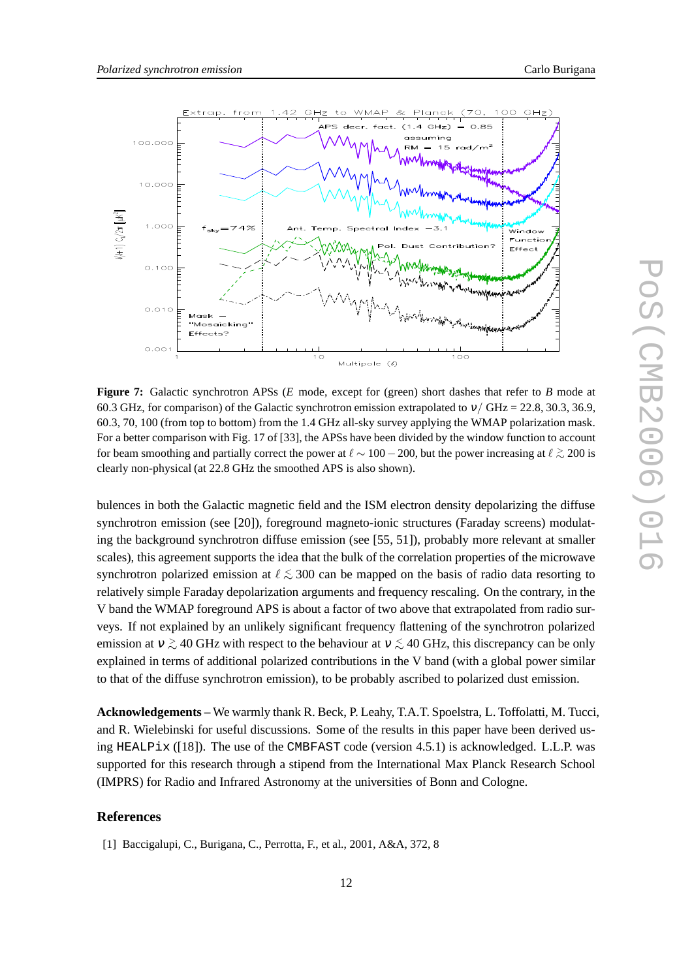

**Figure 7:** Galactic synchrotron APSs (*E* mode, except for (green) short dashes that refer to *B* mode at 60.3 GHz, for comparison) of the Galactic synchrotron emission extrapolated to  $v$  / GHz = 22.8, 30.3, 36.9, 60.3, 70, 100 (from top to bottom) from the 1.4 GHz all-sky survey applying the WMAP polarization mask. For a better comparison with Fig. 17 of [33], the APSs have been divided by the window function to account for beam smoothing and partially correct the power at  $\ell \sim 100-200$ , but the power increasing at  $\ell \gtrsim 200$  is clearly non-physical (at 22.8 GHz the smoothed APS is also shown).

bulences in both the Galactic magnetic field and the ISM electron density depolarizing the diffuse synchrotron emission (see [20]), foreground magneto-ionic structures (Faraday screens) modulating the background synchrotron diffuse emission (see [55, 51]), probably more relevant at smaller scales), this agreement supports the idea that the bulk of the correlation properties of the microwave synchrotron polarized emission at  $\ell \lesssim 300$  can be mapped on the basis of radio data resorting to relatively simple Faraday depolarization arguments and frequency rescaling. On the contrary, in the V band the WMAP foreground APS is about a factor of two above that extrapolated from radio surveys. If not explained by an unlikely significant frequency flattening of the synchrotron polarized emission at  $v \gtrsim 40$  GHz with respect to the behaviour at  $v \lesssim 40$  GHz, this discrepancy can be only explained in terms of additional polarized contributions in the V band (with a global power similar to that of the diffuse synchrotron emission), to be probably ascribed to polarized dust emission.

**Acknowledgements –** We warmly thank R. Beck, P. Leahy, T.A.T. Spoelstra, L. Toffolatti, M. Tucci, and R. Wielebinski for useful discussions. Some of the results in this paper have been derived using HEALPix ([18]). The use of the CMBFAST code (version 4.5.1) is acknowledged. L.L.P. was supported for this research through a stipend from the International Max Planck Research School (IMPRS) for Radio and Infrared Astronomy at the universities of Bonn and Cologne.

# **References**

[1] Baccigalupi, C., Burigana, C., Perrotta, F., et al., 2001, A&A, 372, 8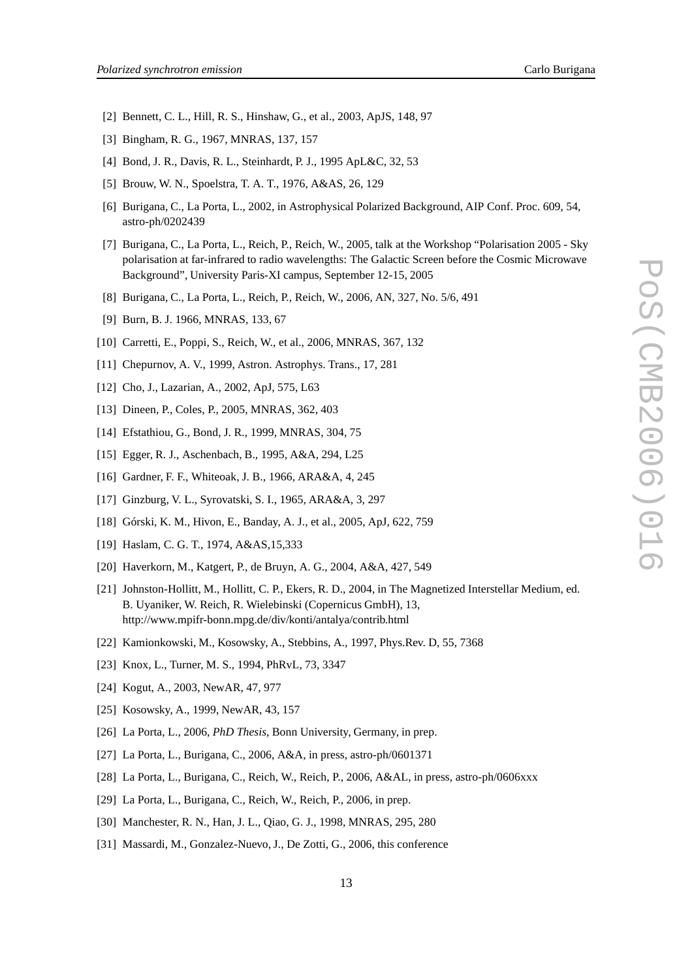- [2] Bennett, C. L., Hill, R. S., Hinshaw, G., et al., 2003, ApJS, 148, 97
- [3] Bingham, R. G., 1967, MNRAS, 137, 157
- [4] Bond, J. R., Davis, R. L., Steinhardt, P. J., 1995 ApL&C, 32, 53
- [5] Brouw, W. N., Spoelstra, T. A. T., 1976, A&AS, 26, 129
- [6] Burigana, C., La Porta, L., 2002, in Astrophysical Polarized Background, AIP Conf. Proc. 609, 54, astro-ph/0202439
- [7] Burigana, C., La Porta, L., Reich, P., Reich, W., 2005, talk at the Workshop "Polarisation 2005 Sky polarisation at far-infrared to radio wavelengths: The Galactic Screen before the Cosmic Microwave Background", University Paris-XI campus, September 12-15, 2005
- [8] Burigana, C., La Porta, L., Reich, P., Reich, W., 2006, AN, 327, No. 5/6, 491
- [9] Burn, B. J. 1966, MNRAS, 133, 67
- [10] Carretti, E., Poppi, S., Reich, W., et al., 2006, MNRAS, 367, 132
- [11] Chepurnov, A. V., 1999, Astron. Astrophys. Trans., 17, 281
- [12] Cho, J., Lazarian, A., 2002, ApJ, 575, L63
- [13] Dineen, P., Coles, P., 2005, MNRAS, 362, 403
- [14] Efstathiou, G., Bond, J. R., 1999, MNRAS, 304, 75
- [15] Egger, R. J., Aschenbach, B., 1995, A&A, 294, L25
- [16] Gardner, F. F., Whiteoak, J. B., 1966, ARA&A, 4, 245
- [17] Ginzburg, V. L., Syrovatski, S. I., 1965, ARA&A, 3, 297
- [18] Górski, K. M., Hivon, E., Banday, A. J., et al., 2005, ApJ, 622, 759
- [19] Haslam, C. G. T., 1974, A&AS,15,333
- [20] Haverkorn, M., Katgert, P., de Bruyn, A. G., 2004, A&A, 427, 549
- [21] Johnston-Hollitt, M., Hollitt, C. P., Ekers, R. D., 2004, in The Magnetized Interstellar Medium, ed. B. Uyaniker, W. Reich, R. Wielebinski (Copernicus GmbH), 13, http://www.mpifr-bonn.mpg.de/div/konti/antalya/contrib.html
- [22] Kamionkowski, M., Kosowsky, A., Stebbins, A., 1997, Phys.Rev. D, 55, 7368
- [23] Knox, L., Turner, M. S., 1994, PhRvL, 73, 3347
- [24] Kogut, A., 2003, NewAR, 47, 977
- [25] Kosowsky, A., 1999, NewAR, 43, 157
- [26] La Porta, L., 2006, *PhD Thesis*, Bonn University, Germany, in prep.
- [27] La Porta, L., Burigana, C., 2006, A&A, in press, astro-ph/0601371
- [28] La Porta, L., Burigana, C., Reich, W., Reich, P., 2006, A&AL, in press, astro-ph/0606xxx
- [29] La Porta, L., Burigana, C., Reich, W., Reich, P., 2006, in prep.
- [30] Manchester, R. N., Han, J. L., Qiao, G. J., 1998, MNRAS, 295, 280
- [31] Massardi, M., Gonzalez-Nuevo, J., De Zotti, G., 2006, this conference